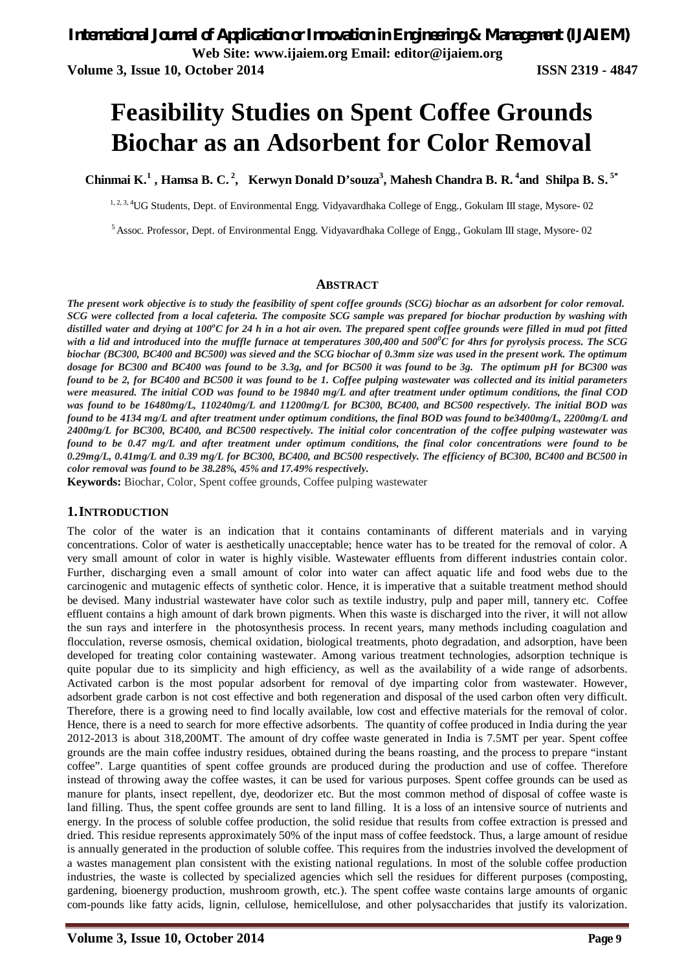**Web Site: www.ijaiem.org Email: editor@ijaiem.org**

**Volume 3, Issue 10, October 2014 ISSN 2319 - 4847**

# **Feasibility Studies on Spent Coffee Grounds Biochar as an Adsorbent for Color Removal**

**Chinmai K.<sup>1</sup> , Hamsa B. C. <sup>2</sup> , Kerwyn Donald D'souza<sup>3</sup> , Mahesh Chandra B. R. <sup>4</sup> and Shilpa B. S. 5\***

<sup>1, 2, 3, 4</sup>UG Students, Dept. of Environmental Engg. Vidyavardhaka College of Engg., Gokulam III stage, Mysore- 02

<sup>5</sup> Assoc. Professor, Dept. of Environmental Engg. Vidyavardhaka College of Engg., Gokulam III stage, Mysore- 02

#### **ABSTRACT**

*The present work objective is to study the feasibility of spent coffee grounds (SCG) biochar as an adsorbent for color removal. SCG were collected from a local cafeteria. The composite SCG sample was prepared for biochar production by washing with distilled water and drying at 100<sup>o</sup>C for 24 h in a hot air oven. The prepared spent coffee grounds were filled in mud pot fitted with a lid and introduced into the muffle furnace at temperatures 300,400 and 500<sup>0</sup>C for 4hrs for pyrolysis process. The SCG biochar (BC300, BC400 and BC500) was sieved and the SCG biochar of 0.3mm size was used in the present work. The optimum*  dosage for BC300 and BC400 was found to be 3.3g, and for BC500 it was found to be 3g. The optimum pH for BC300 was *found to be 2, for BC400 and BC500 it was found to be 1. Coffee pulping wastewater was collected and its initial parameters were measured. The initial COD was found to be 19840 mg/L and after treatment under optimum conditions, the final COD was found to be 16480mg/L, 110240mg/L and 11200mg/L for BC300, BC400, and BC500 respectively. The initial BOD was found to be 4134 mg/L and after treatment under optimum conditions, the final BOD was found to be3400mg/L, 2200mg/L and 2400mg/L for BC300, BC400, and BC500 respectively. The initial color concentration of the coffee pulping wastewater was found to be 0.47 mg/L and after treatment under optimum conditions, the final color concentrations were found to be 0.29mg/L, 0.41mg/L and 0.39 mg/L for BC300, BC400, and BC500 respectively. The efficiency of BC300, BC400 and BC500 in color removal was found to be 38.28%, 45% and 17.49% respectively.*

**Keywords:** Biochar, Color, Spent coffee grounds, Coffee pulping wastewater

#### **1.INTRODUCTION**

The color of the water is an indication that it contains contaminants of different materials and in varying concentrations. Color of water is aesthetically unacceptable; hence water has to be treated for the removal of color. A very small amount of color in water is highly visible. Wastewater effluents from different industries contain color. Further, discharging even a small amount of color into water can affect aquatic life and food webs due to the carcinogenic and mutagenic effects of synthetic color. Hence, it is imperative that a suitable treatment method should be devised. Many industrial wastewater have color such as textile industry, pulp and paper mill, tannery etc. Coffee effluent contains a high amount of dark brown pigments. When this waste is discharged into the river, it will not allow the sun rays and interfere in the photosynthesis process. In recent years, many methods including coagulation and flocculation, reverse osmosis, chemical oxidation, biological treatments, photo degradation, and adsorption, have been developed for treating color containing wastewater. Among various treatment technologies, adsorption technique is quite popular due to its simplicity and high efficiency, as well as the availability of a wide range of adsorbents. Activated carbon is the most popular adsorbent for removal of dye imparting color from wastewater. However, adsorbent grade carbon is not cost effective and both regeneration and disposal of the used carbon often very difficult. Therefore, there is a growing need to find locally available, low cost and effective materials for the removal of color. Hence, there is a need to search for more effective adsorbents. The quantity of coffee produced in India during the year 2012-2013 is about 318,200MT. The amount of dry coffee waste generated in India is 7.5MT per year. Spent coffee grounds are the main coffee industry residues, obtained during the beans roasting, and the process to prepare "instant coffee". Large quantities of spent coffee grounds are produced during the production and use of coffee. Therefore instead of throwing away the coffee wastes, it can be used for various purposes. Spent coffee grounds can be used as manure for plants, insect repellent, dye, deodorizer etc. But the most common method of disposal of coffee waste is land filling. Thus, the spent coffee grounds are sent to land filling. It is a loss of an intensive source of nutrients and energy. In the process of soluble coffee production, the solid residue that results from coffee extraction is pressed and dried. This residue represents approximately 50% of the input mass of coffee feedstock. Thus, a large amount of residue is annually generated in the production of soluble coffee. This requires from the industries involved the development of a wastes management plan consistent with the existing national regulations. In most of the soluble coffee production industries, the waste is collected by specialized agencies which sell the residues for different purposes (composting, gardening, bioenergy production, mushroom growth, etc.). The spent coffee waste contains large amounts of organic com-pounds like fatty acids, lignin, cellulose, hemicellulose, and other polysaccharides that justify its valorization.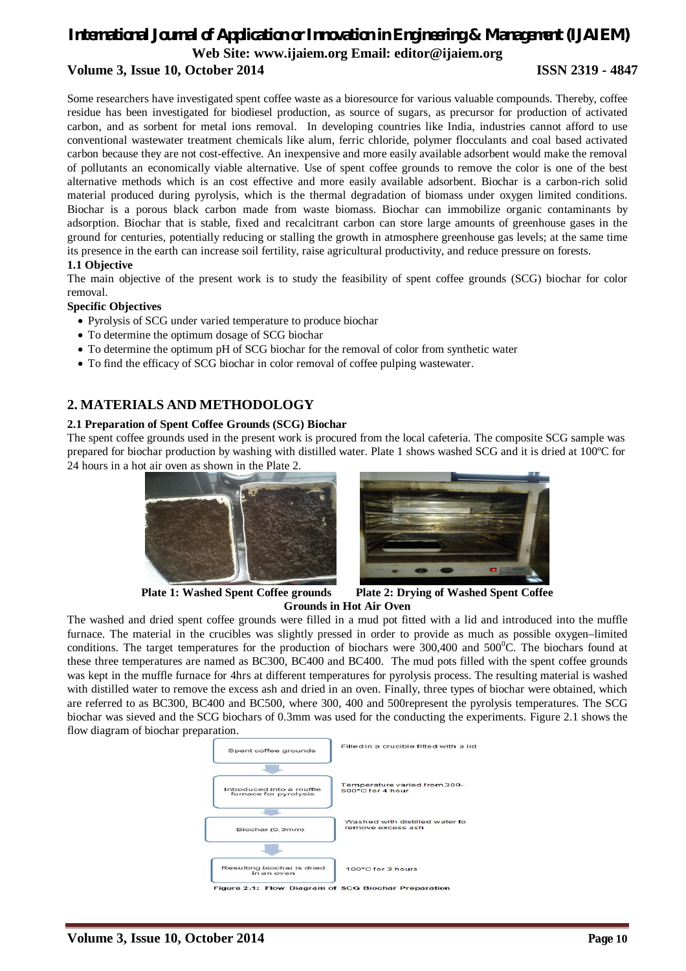### *International Journal of Application or Innovation in Engineering & Management (IJAIEM)* **Web Site: www.ijaiem.org Email: editor@ijaiem.org Volume 3, Issue 10, October 2014 ISSN 2319 - 4847**

Some researchers have investigated spent coffee waste as a bioresource for various valuable compounds. Thereby, coffee residue has been investigated for biodiesel production, as source of sugars, as precursor for production of activated carbon, and as sorbent for metal ions removal. In developing countries like India, industries cannot afford to use conventional wastewater treatment chemicals like alum, ferric chloride, polymer flocculants and coal based activated carbon because they are not cost-effective. An inexpensive and more easily available adsorbent would make the removal of pollutants an economically viable alternative. Use of spent coffee grounds to remove the color is one of the best alternative methods which is an cost effective and more easily available adsorbent. Biochar is a carbon-rich solid material produced during pyrolysis, which is the thermal degradation of biomass under oxygen limited conditions. Biochar is a porous black carbon made from waste biomass. Biochar can immobilize organic contaminants by adsorption. Biochar that is stable, fixed and recalcitrant carbon can store large amounts of greenhouse gases in the ground for centuries, potentially reducing or stalling the growth in atmosphere greenhouse gas levels; at the same time its presence in the earth can increase soil fertility, raise agricultural productivity, and reduce pressure on forests. **1.1 Objective**

The main objective of the present work is to study the feasibility of spent coffee grounds (SCG) biochar for color removal.

#### **Specific Objectives**

- Pyrolysis of SCG under varied temperature to produce biochar
- To determine the optimum dosage of SCG biochar
- To determine the optimum pH of SCG biochar for the removal of color from synthetic water
- To find the efficacy of SCG biochar in color removal of coffee pulping wastewater.

#### **2. MATERIALS AND METHODOLOGY**

#### **2.1 Preparation of Spent Coffee Grounds (SCG) Biochar**

The spent coffee grounds used in the present work is procured from the local cafeteria. The composite SCG sample was prepared for biochar production by washing with distilled water. Plate 1 shows washed SCG and it is dried at 100ºC for 24 hours in a hot air oven as shown in the Plate 2.





**Plate 1: Washed Spent Coffee grounds Plate 2: Drying of Washed Spent Coffee Grounds in Hot Air Oven**

The washed and dried spent coffee grounds were filled in a mud pot fitted with a lid and introduced into the muffle furnace. The material in the crucibles was slightly pressed in order to provide as much as possible oxygen–limited conditions. The target temperatures for the production of biochars were  $300,400$  and  $500^0$ C. The biochars found at these three temperatures are named as BC300, BC400 and BC400. The mud pots filled with the spent coffee grounds was kept in the muffle furnace for 4hrs at different temperatures for pyrolysis process. The resulting material is washed with distilled water to remove the excess ash and dried in an oven. Finally, three types of biochar were obtained, which are referred to as BC300, BC400 and BC500, where 300, 400 and 500represent the pyrolysis temperatures. The SCG biochar was sieved and the SCG biochars of 0.3mm was used for the conducting the experiments. Figure 2.1 shows the flow diagram of biochar preparation.

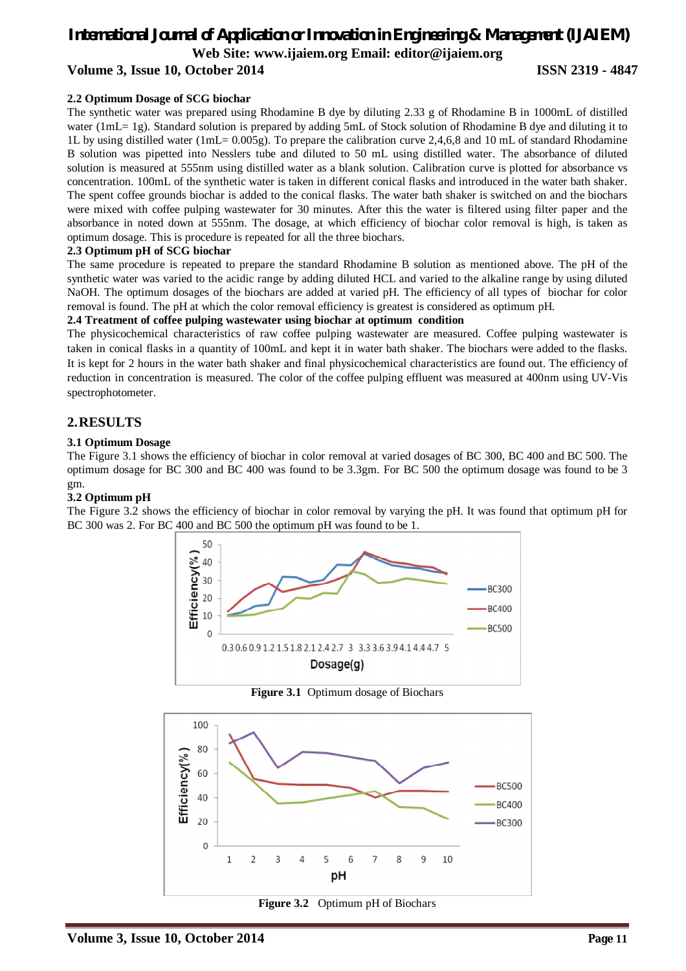### *International Journal of Application or Innovation in Engineering & Management (IJAIEM)* **Web Site: www.ijaiem.org Email: editor@ijaiem.org Volume 3, Issue 10, October 2014 ISSN 2319 - 4847**

**2.2 Optimum Dosage of SCG biochar**  The synthetic water was prepared using Rhodamine B dye by diluting 2.33 g of Rhodamine B in 1000mL of distilled water (1mL= 1g). Standard solution is prepared by adding 5mL of Stock solution of Rhodamine B dye and diluting it to 1L by using distilled water (1mL= 0.005g). To prepare the calibration curve 2,4,6,8 and 10 mL of standard Rhodamine B solution was pipetted into Nesslers tube and diluted to 50 mL using distilled water. The absorbance of diluted solution is measured at 555nm using distilled water as a blank solution. Calibration curve is plotted for absorbance vs concentration. 100mL of the synthetic water is taken in different conical flasks and introduced in the water bath shaker. The spent coffee grounds biochar is added to the conical flasks. The water bath shaker is switched on and the biochars were mixed with coffee pulping wastewater for 30 minutes. After this the water is filtered using filter paper and the absorbance in noted down at 555nm. The dosage, at which efficiency of biochar color removal is high, is taken as optimum dosage. This is procedure is repeated for all the three biochars.

#### **2.3 Optimum pH of SCG biochar**

The same procedure is repeated to prepare the standard Rhodamine B solution as mentioned above. The pH of the synthetic water was varied to the acidic range by adding diluted HCL and varied to the alkaline range by using diluted NaOH. The optimum dosages of the biochars are added at varied pH. The efficiency of all types of biochar for color removal is found. The pH at which the color removal efficiency is greatest is considered as optimum pH.

#### **2.4 Treatment of coffee pulping wastewater using biochar at optimum condition**

The physicochemical characteristics of raw coffee pulping wastewater are measured. Coffee pulping wastewater is taken in conical flasks in a quantity of 100mL and kept it in water bath shaker. The biochars were added to the flasks. It is kept for 2 hours in the water bath shaker and final physicochemical characteristics are found out. The efficiency of reduction in concentration is measured. The color of the coffee pulping effluent was measured at 400nm using UV-Vis spectrophotometer.

#### **2.RESULTS**

#### **3.1 Optimum Dosage**

The Figure 3.1 shows the efficiency of biochar in color removal at varied dosages of BC 300, BC 400 and BC 500. The optimum dosage for BC 300 and BC 400 was found to be 3.3gm. For BC 500 the optimum dosage was found to be 3 gm.

#### **3.2 Optimum pH**

The Figure 3.2 shows the efficiency of biochar in color removal by varying the pH. It was found that optimum pH for BC 300 was 2. For BC 400 and BC 500 the optimum pH was found to be 1.



**Figure 3.1** Optimum dosage of Biochars



**Figure 3.2** Optimum pH of Biochars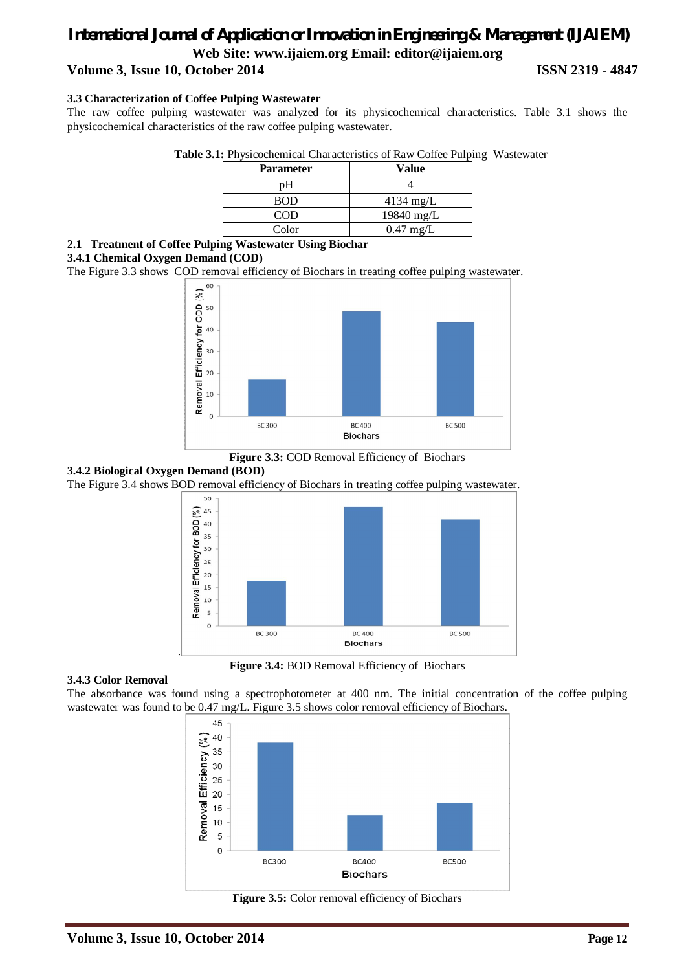### *International Journal of Application or Innovation in Engineering & Management (IJAIEM)* **Web Site: www.ijaiem.org Email: editor@ijaiem.org Volume 3, Issue 10, October 2014 ISSN 2319 - 4847**

#### **3.3 Characterization of Coffee Pulping Wastewater**

The raw coffee pulping wastewater was analyzed for its physicochemical characteristics. Table 3.1 shows the physicochemical characteristics of the raw coffee pulping wastewater.

| <b>Table 3.1:</b> Physicochemical Characteristics of Raw Coffee Pulping Wastewater |  |  |  |
|------------------------------------------------------------------------------------|--|--|--|
|------------------------------------------------------------------------------------|--|--|--|

| <b>Parameter</b> | Value               |
|------------------|---------------------|
| pΗ               |                     |
| <b>BOD</b>       | $4134 \text{ mg/L}$ |
| <b>COD</b>       | 19840 mg/L          |
| Color            | $0.47$ mg/L         |

#### **2.1 Treatment of Coffee Pulping Wastewater Using Biochar**

#### **3.4.1 Chemical Oxygen Demand (COD)**

The Figure 3.3 shows COD removal efficiency of Biochars in treating coffee pulping wastewater.





#### **3.4.2 Biological Oxygen Demand (BOD)**

The Figure 3.4 shows BOD removal efficiency of Biochars in treating coffee pulping wastewater.



**Figure 3.4:** BOD Removal Efficiency of Biochars

#### **3.4.3 Color Removal**

The absorbance was found using a spectrophotometer at 400 nm. The initial concentration of the coffee pulping wastewater was found to be 0.47 mg/L. Figure 3.5 shows color removal efficiency of Biochars.



**Figure 3.5:** Color removal efficiency of Biochars